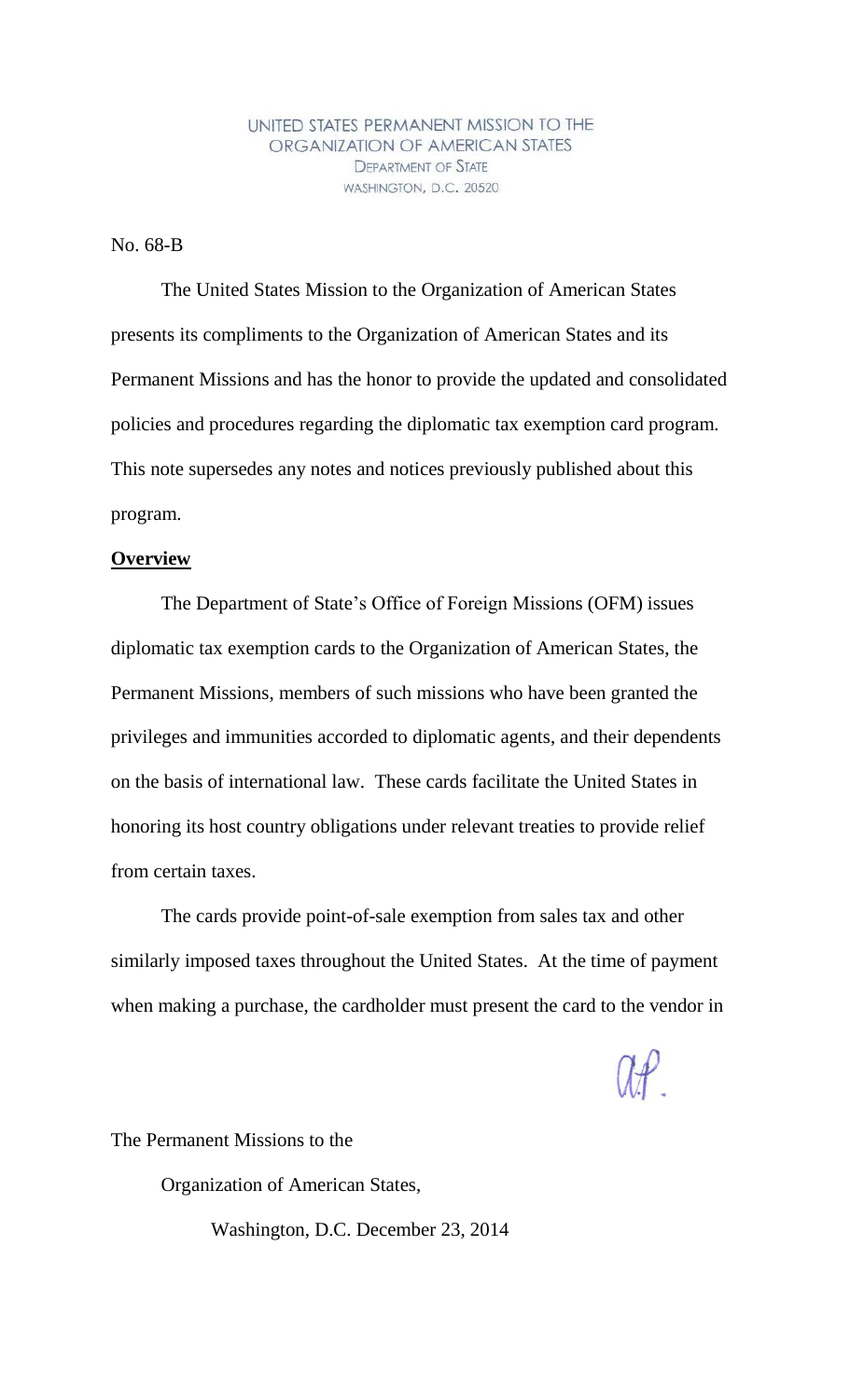UNITED STATES PERMANENT MISSION TO THE ORGANIZATION OF AMERICAN STATES **DEPARTMENT OF STATE** WASHINGTON, D.C. 20520

No. 68-B

The United States Mission to the Organization of American States presents its compliments to the Organization of American States and its Permanent Missions and has the honor to provide the updated and consolidated policies and procedures regarding the diplomatic tax exemption card program. This note supersedes any notes and notices previously published about this program.

## **Overview**

The Department of State's Office of Foreign Missions (OFM) issues diplomatic tax exemption cards to the Organization of American States, the Permanent Missions, members of such missions who have been granted the privileges and immunities accorded to diplomatic agents, and their dependents on the basis of international law. These cards facilitate the United States in honoring its host country obligations under relevant treaties to provide relief from certain taxes.

The cards provide point-of-sale exemption from sales tax and other similarly imposed taxes throughout the United States. At the time of payment when making a purchase, the cardholder must present the card to the vendor in

 $\mathcal{H}$ 

The Permanent Missions to the

Organization of American States,

Washington, D.C. December 23, 2014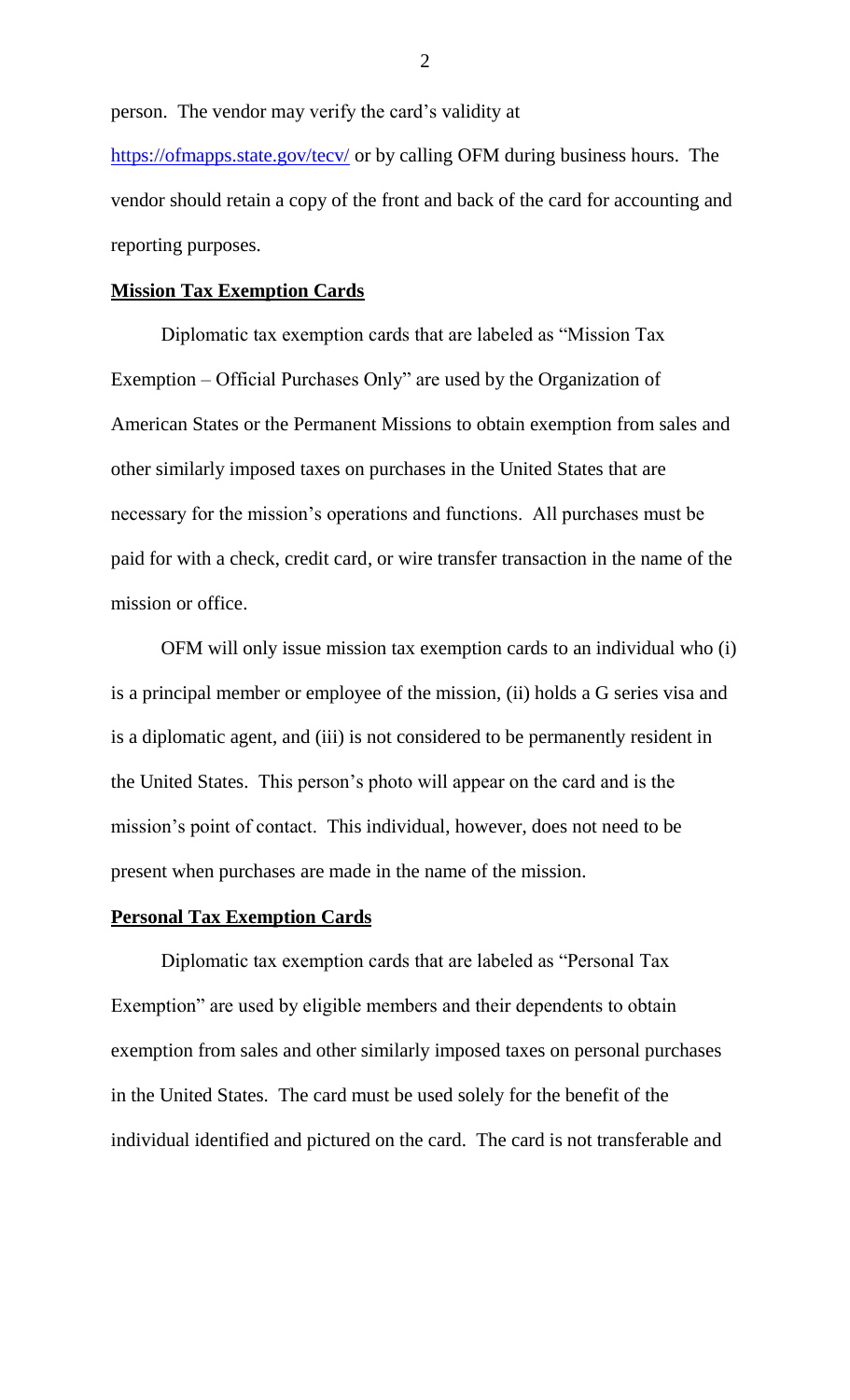person. The vendor may verify the card's validity at

https://ofmapps.state.gov/tecv/ or by calling OFM during business hours. The vendor should retain a copy of the front and back of the card for accounting and reporting purposes.

## **Mission Tax Exemption Cards**

Diplomatic tax exemption cards that are labeled as "Mission Tax Exemption – Official Purchases Only" are used by the Organization of American States or the Permanent Missions to obtain exemption from sales and other similarly imposed taxes on purchases in the United States that are necessary for the mission's operations and functions. All purchases must be paid for with a check, credit card, or wire transfer transaction in the name of the mission or office.

OFM will only issue mission tax exemption cards to an individual who (i) is a principal member or employee of the mission, (ii) holds a G series visa and is a diplomatic agent, and (iii) is not considered to be permanently resident in the United States. This person's photo will appear on the card and is the mission's point of contact. This individual, however, does not need to be present when purchases are made in the name of the mission.

# **Personal Tax Exemption Cards**

Diplomatic tax exemption cards that are labeled as "Personal Tax Exemption" are used by eligible members and their dependents to obtain exemption from sales and other similarly imposed taxes on personal purchases in the United States. The card must be used solely for the benefit of the individual identified and pictured on the card. The card is not transferable and

2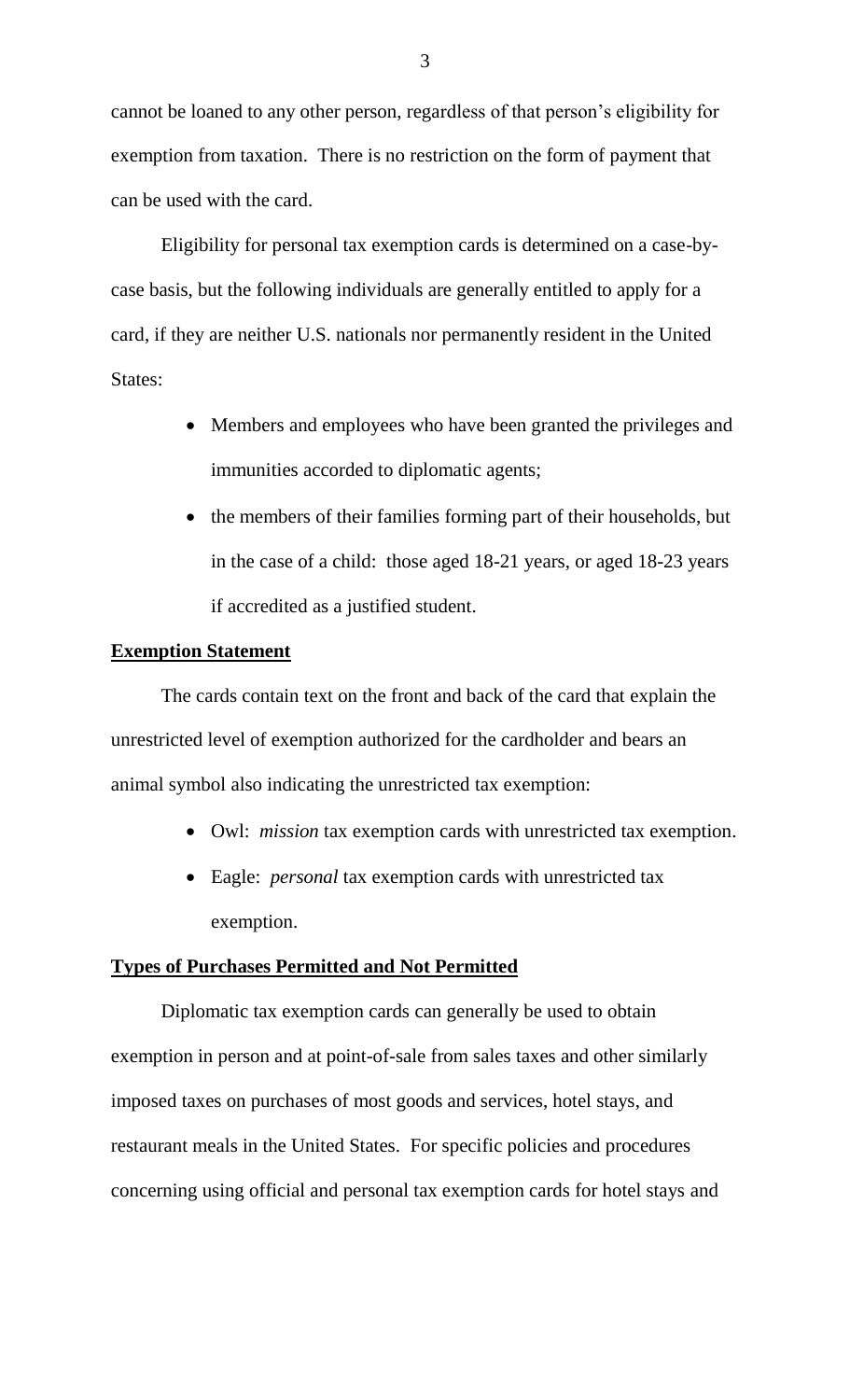cannot be loaned to any other person, regardless of that person's eligibility for exemption from taxation. There is no restriction on the form of payment that can be used with the card.

Eligibility for personal tax exemption cards is determined on a case-bycase basis, but the following individuals are generally entitled to apply for a card, if they are neither U.S. nationals nor permanently resident in the United States:

- Members and employees who have been granted the privileges and immunities accorded to diplomatic agents;
- the members of their families forming part of their households, but in the case of a child: those aged 18-21 years, or aged 18-23 years if accredited as a justified student.

# **Exemption Statement**

The cards contain text on the front and back of the card that explain the unrestricted level of exemption authorized for the cardholder and bears an animal symbol also indicating the unrestricted tax exemption:

- Owl: *mission* tax exemption cards with unrestricted tax exemption.
- Eagle: *personal* tax exemption cards with unrestricted tax exemption.

# **Types of Purchases Permitted and Not Permitted**

Diplomatic tax exemption cards can generally be used to obtain exemption in person and at point-of-sale from sales taxes and other similarly imposed taxes on purchases of most goods and services, hotel stays, and restaurant meals in the United States. For specific policies and procedures concerning using official and personal tax exemption cards for hotel stays and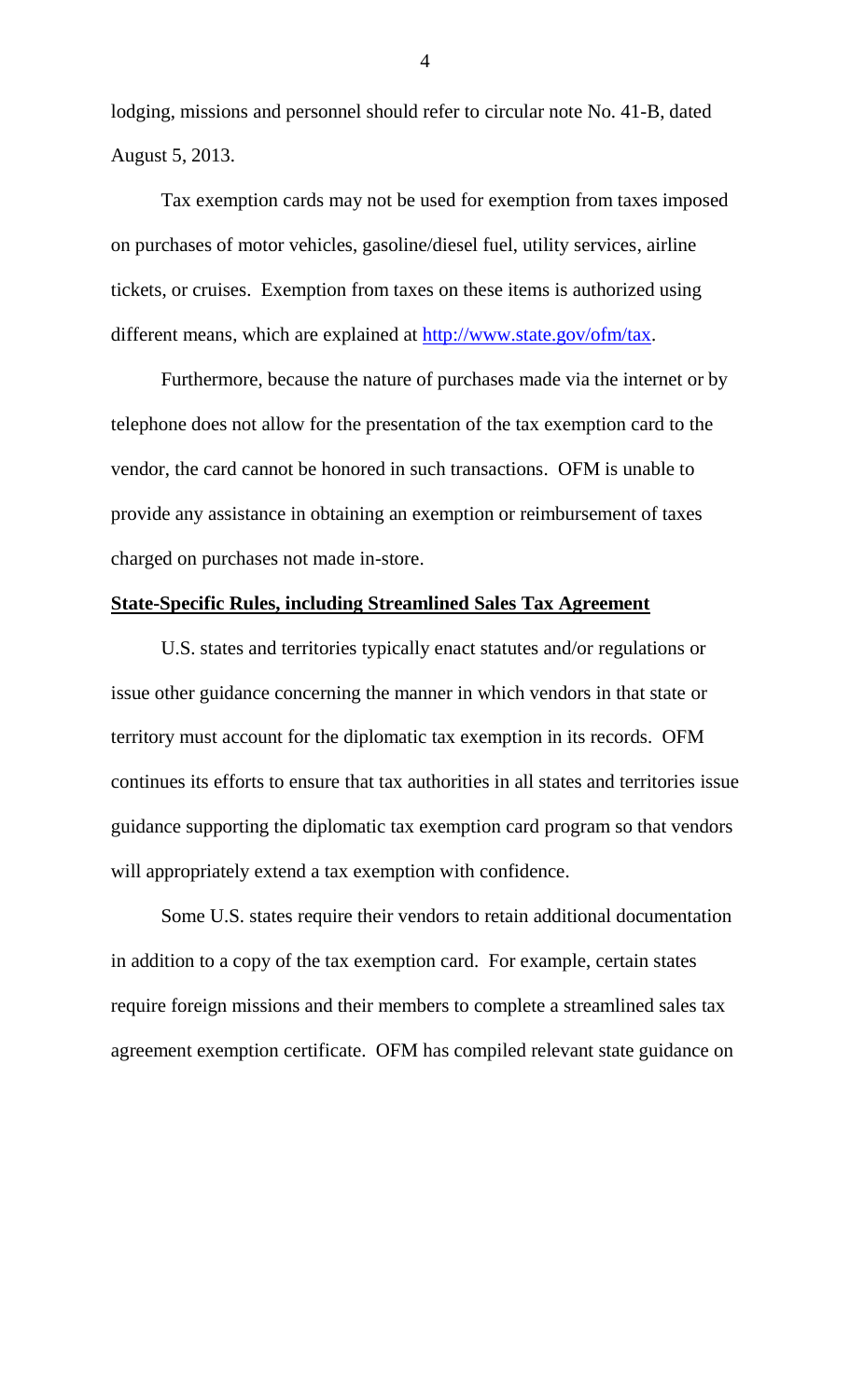lodging, missions and personnel should refer to circular note No. 41-B, dated August 5, 2013.

Tax exemption cards may not be used for exemption from taxes imposed on purchases of motor vehicles, gasoline/diesel fuel, utility services, airline tickets, or cruises. Exemption from taxes on these items is authorized using different means, which are explained at http://www.state.gov/ofm/tax.

Furthermore, because the nature of purchases made via the internet or by telephone does not allow for the presentation of the tax exemption card to the vendor, the card cannot be honored in such transactions. OFM is unable to provide any assistance in obtaining an exemption or reimbursement of taxes charged on purchases not made in-store.

# **State-Specific Rules, including Streamlined Sales Tax Agreement**

U.S. states and territories typically enact statutes and/or regulations or issue other guidance concerning the manner in which vendors in that state or territory must account for the diplomatic tax exemption in its records. OFM continues its efforts to ensure that tax authorities in all states and territories issue guidance supporting the diplomatic tax exemption card program so that vendors will appropriately extend a tax exemption with confidence.

Some U.S. states require their vendors to retain additional documentation in addition to a copy of the tax exemption card. For example, certain states require foreign missions and their members to complete a streamlined sales tax agreement exemption certificate. OFM has compiled relevant state guidance on

4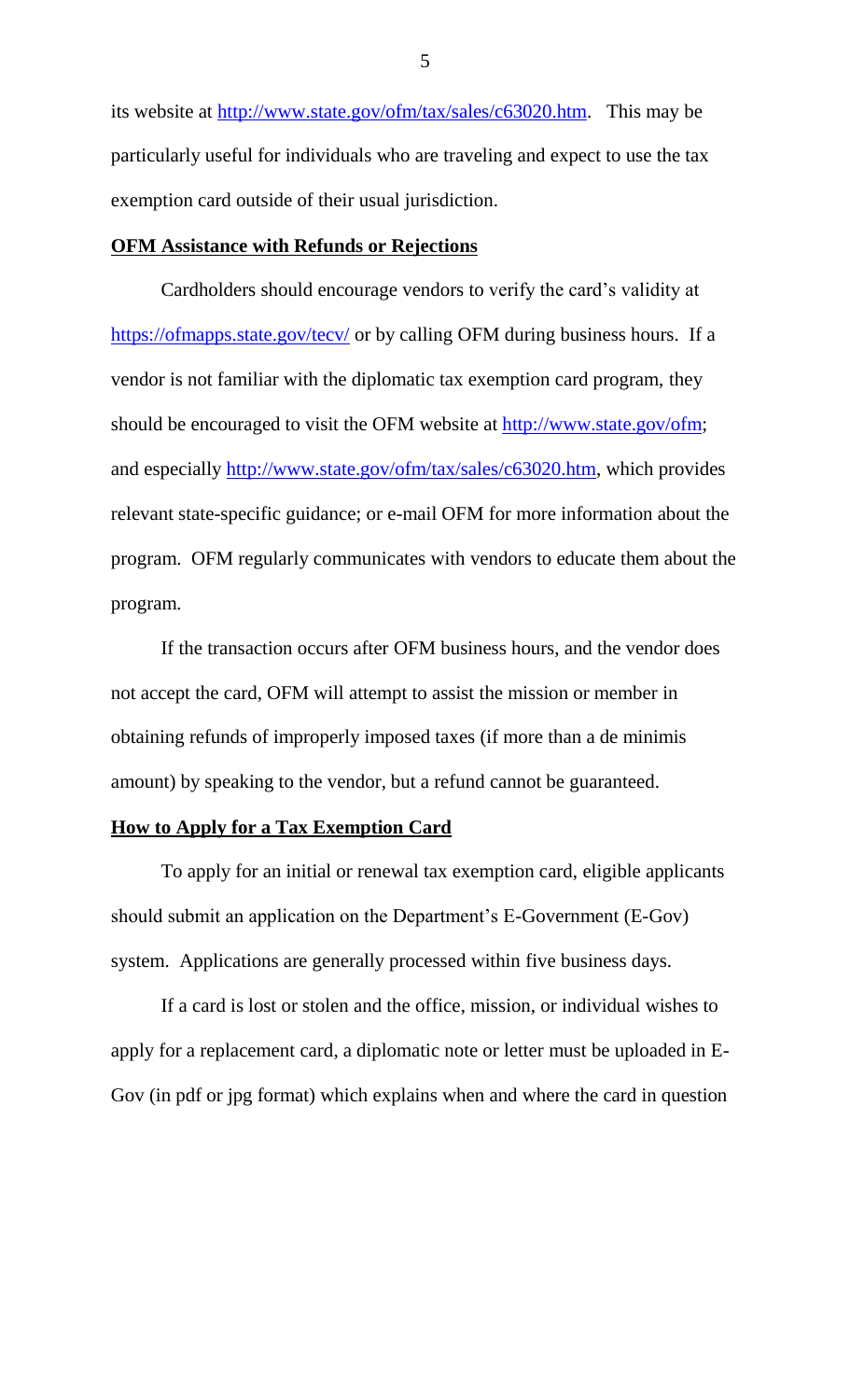its website at http://www.state.gov/ofm/tax/sales/c63020.htm. This may be particularly useful for individuals who are traveling and expect to use the tax exemption card outside of their usual jurisdiction.

### **OFM Assistance with Refunds or Rejections**

Cardholders should encourage vendors to verify the card's validity at https://ofmapps.state.gov/tecv/ or by calling OFM during business hours. If a vendor is not familiar with the diplomatic tax exemption card program, they should be encouraged to visit the OFM website at http://www.state.gov/ofm; and especially http://www.state.gov/ofm/tax/sales/c63020.htm, which provides relevant state-specific guidance; or e-mail OFM for more information about the program. OFM regularly communicates with vendors to educate them about the program.

If the transaction occurs after OFM business hours, and the vendor does not accept the card, OFM will attempt to assist the mission or member in obtaining refunds of improperly imposed taxes (if more than a de minimis amount) by speaking to the vendor, but a refund cannot be guaranteed.

### **How to Apply for a Tax Exemption Card**

To apply for an initial or renewal tax exemption card, eligible applicants should submit an application on the Department's E-Government (E-Gov) system. Applications are generally processed within five business days.

If a card is lost or stolen and the office, mission, or individual wishes to apply for a replacement card, a diplomatic note or letter must be uploaded in E-Gov (in pdf or jpg format) which explains when and where the card in question